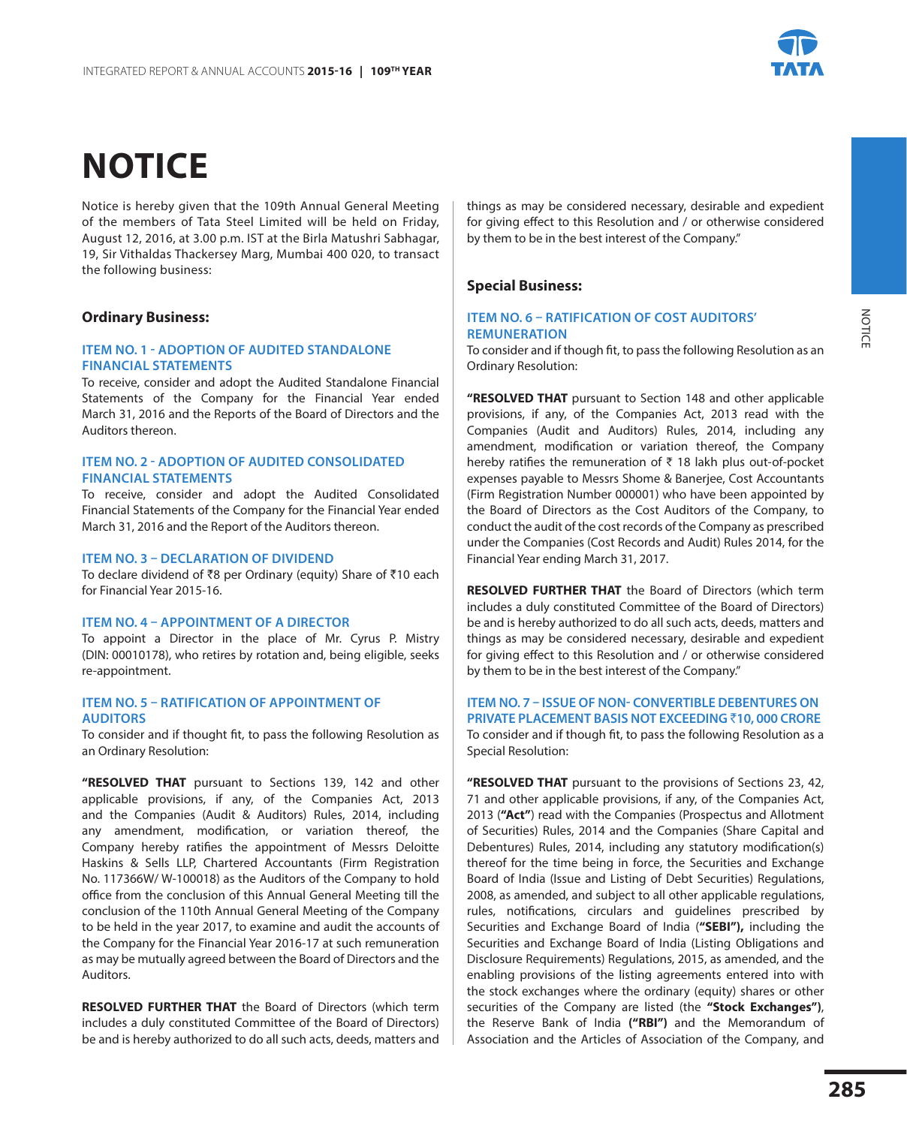

# **NOTICE**

Notice is hereby given that the 109th Annual General Meeting of the members of Tata Steel Limited will be held on Friday, August 12, 2016, at 3.00 p.m. IST at the Birla Matushri Sabhagar, 19, Sir Vithaldas Thackersey Marg, Mumbai 400 020, to transact the following business:

### **Ordinary Business:**

### **ITEM NO. 1 - ADOPTION OF AUDITED STANDALONE FINANCIAL STATEMENTS**

To receive, consider and adopt the Audited Standalone Financial Statements of the Company for the Financial Year ended March 31, 2016 and the Reports of the Board of Directors and the Auditors thereon.

### **ITEM NO. 2 - ADOPTION OF AUDITED CONSOLIDATED FINANCIAL STATEMENTS**

To receive, consider and adopt the Audited Consolidated Financial Statements of the Company for the Financial Year ended March 31, 2016 and the Report of the Auditors thereon.

### **ITEM NO. 3 – DECLARATION OF DIVIDEND**

To declare dividend of  $\bar{z}8$  per Ordinary (equity) Share of  $\bar{z}10$  each for Financial Year 2015-16.

### **ITEM NO. 4 – APPOINTMENT OF A DIRECTOR**

To appoint a Director in the place of Mr. Cyrus P. Mistry (DIN: 00010178), who retires by rotation and, being eligible, seeks re-appointment.

### **ITEM NO. 5 – RATIFICATION OF APPOINTMENT OF AUDITORS**

To consider and if thought fit, to pass the following Resolution as an Ordinary Resolution:

**"RESOLVED THAT** pursuant to Sections 139, 142 and other applicable provisions, if any, of the Companies Act, 2013 and the Companies (Audit & Auditors) Rules, 2014, including any amendment, modification, or variation thereof, the Company hereby ratifies the appointment of Messrs Deloitte Haskins & Sells LLP, Chartered Accountants (Firm Registration No. 117366W/ W-100018) as the Auditors of the Company to hold office from the conclusion of this Annual General Meeting till the conclusion of the 110th Annual General Meeting of the Company to be held in the year 2017, to examine and audit the accounts of the Company for the Financial Year 2016-17 at such remuneration as may be mutually agreed between the Board of Directors and the Auditors.

**RESOLVED FURTHER THAT** the Board of Directors (which term includes a duly constituted Committee of the Board of Directors) be and is hereby authorized to do all such acts, deeds, matters and

things as may be considered necessary, desirable and expedient for giving effect to this Resolution and / or otherwise considered by them to be in the best interest of the Company."

### **Special Business:**

### **ITEM NO. 6 – RATIFICATION OF COST AUDITORS' REMUNERATION**

To consider and if though fit, to pass the following Resolution as an Ordinary Resolution:

**"RESOLVED THAT** pursuant to Section 148 and other applicable provisions, if any, of the Companies Act, 2013 read with the Companies (Audit and Auditors) Rules, 2014, including any amendment, modification or variation thereof, the Company hereby ratifies the remuneration of ₹ 18 lakh plus out-of-pocket expenses payable to Messrs Shome & Banerjee, Cost Accountants (Firm Registration Number 000001) who have been appointed by the Board of Directors as the Cost Auditors of the Company, to conduct the audit of the cost records of the Company as prescribed under the Companies (Cost Records and Audit) Rules 2014, for the Financial Year ending March 31, 2017.

**RESOLVED FURTHER THAT** the Board of Directors (which term includes a duly constituted Committee of the Board of Directors) be and is hereby authorized to do all such acts, deeds, matters and things as may be considered necessary, desirable and expedient for giving effect to this Resolution and / or otherwise considered by them to be in the best interest of the Company."

**ITEM NO. 7 – ISSUE OF NON- CONVERTIBLE DEBENTURES ON PRIVATE PLACEMENT BASIS NOT EXCEEDING** `**10, 000 CRORE** To consider and if though fit, to pass the following Resolution as a Special Resolution:

**"RESOLVED THAT** pursuant to the provisions of Sections 23, 42, 71 and other applicable provisions, if any, of the Companies Act, 2013 (**"Act"**) read with the Companies (Prospectus and Allotment of Securities) Rules, 2014 and the Companies (Share Capital and Debentures) Rules, 2014, including any statutory modification(s) thereof for the time being in force, the Securities and Exchange Board of India (Issue and Listing of Debt Securities) Regulations, 2008, as amended, and subject to all other applicable regulations, rules, notifications, circulars and guidelines prescribed by Securities and Exchange Board of India (**"SEBI"),** including the Securities and Exchange Board of India (Listing Obligations and Disclosure Requirements) Regulations, 2015, as amended, and the enabling provisions of the listing agreements entered into with the stock exchanges where the ordinary (equity) shares or other securities of the Company are listed (the **"Stock Exchanges")**, the Reserve Bank of India **("RBI")** and the Memorandum of Association and the Articles of Association of the Company, and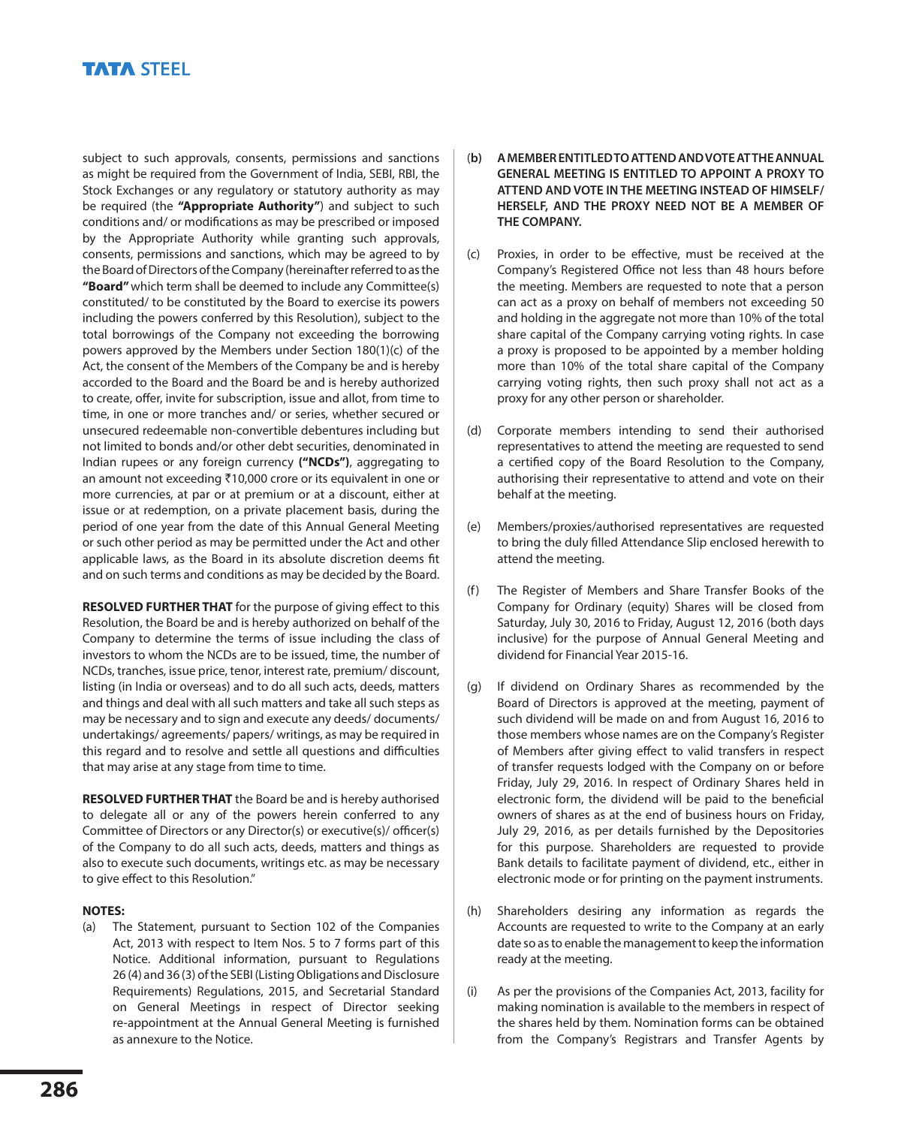### **TATA STEEL**

subject to such approvals, consents, permissions and sanctions as might be required from the Government of India, SEBI, RBI, the Stock Exchanges or any regulatory or statutory authority as may be required (the **"Appropriate Authority"**) and subject to such conditions and/ or modifications as may be prescribed or imposed by the Appropriate Authority while granting such approvals, consents, permissions and sanctions, which may be agreed to by the Board of Directors of the Company (hereinafter referred to as the **"Board"** which term shall be deemed to include any Committee(s) constituted/ to be constituted by the Board to exercise its powers including the powers conferred by this Resolution), subject to the total borrowings of the Company not exceeding the borrowing powers approved by the Members under Section 180(1)(c) of the Act, the consent of the Members of the Company be and is hereby accorded to the Board and the Board be and is hereby authorized to create, offer, invite for subscription, issue and allot, from time to time, in one or more tranches and/ or series, whether secured or unsecured redeemable non-convertible debentures including but not limited to bonds and/or other debt securities, denominated in Indian rupees or any foreign currency **("NCDs")**, aggregating to an amount not exceeding  $\overline{5}10,000$  crore or its equivalent in one or more currencies, at par or at premium or at a discount, either at issue or at redemption, on a private placement basis, during the period of one year from the date of this Annual General Meeting or such other period as may be permitted under the Act and other applicable laws, as the Board in its absolute discretion deems fit and on such terms and conditions as may be decided by the Board.

**RESOLVED FURTHER THAT** for the purpose of giving effect to this Resolution, the Board be and is hereby authorized on behalf of the Company to determine the terms of issue including the class of investors to whom the NCDs are to be issued, time, the number of NCDs, tranches, issue price, tenor, interest rate, premium/ discount, listing (in India or overseas) and to do all such acts, deeds, matters and things and deal with all such matters and take all such steps as may be necessary and to sign and execute any deeds/ documents/ undertakings/ agreements/ papers/ writings, as may be required in this regard and to resolve and settle all questions and difficulties that may arise at any stage from time to time.

**RESOLVED FURTHER THAT** the Board be and is hereby authorised to delegate all or any of the powers herein conferred to any Committee of Directors or any Director(s) or executive(s)/ officer(s) of the Company to do all such acts, deeds, matters and things as also to execute such documents, writings etc. as may be necessary to give effect to this Resolution."

#### **NOTES:**

(a) The Statement, pursuant to Section 102 of the Companies Act, 2013 with respect to Item Nos. 5 to 7 forms part of this Notice. Additional information, pursuant to Regulations 26 (4) and 36 (3) of the SEBI (Listing Obligations and Disclosure Requirements) Regulations, 2015, and Secretarial Standard on General Meetings in respect of Director seeking re-appointment at the Annual General Meeting is furnished as annexure to the Notice.

### (**b) A MEMBER ENTITLED TO ATTEND AND VOTE AT THE ANNUAL GENERAL MEETING IS ENTITLED TO APPOINT A PROXY TO ATTEND AND VOTE IN THE MEETING INSTEAD OF HIMSELF/ HERSELF, AND THE PROXY NEED NOT BE A MEMBER OF THE COMPANY.**

- (c) Proxies, in order to be effective, must be received at the Company's Registered Office not less than 48 hours before the meeting. Members are requested to note that a person can act as a proxy on behalf of members not exceeding 50 and holding in the aggregate not more than 10% of the total share capital of the Company carrying voting rights. In case a proxy is proposed to be appointed by a member holding more than 10% of the total share capital of the Company carrying voting rights, then such proxy shall not act as a proxy for any other person or shareholder.
- (d) Corporate members intending to send their authorised representatives to attend the meeting are requested to send a certified copy of the Board Resolution to the Company, authorising their representative to attend and vote on their behalf at the meeting.
- (e) Members/proxies/authorised representatives are requested to bring the duly filled Attendance Slip enclosed herewith to attend the meeting.
- (f) The Register of Members and Share Transfer Books of the Company for Ordinary (equity) Shares will be closed from Saturday, July 30, 2016 to Friday, August 12, 2016 (both days inclusive) for the purpose of Annual General Meeting and dividend for Financial Year 2015-16.
- (g) If dividend on Ordinary Shares as recommended by the Board of Directors is approved at the meeting, payment of such dividend will be made on and from August 16, 2016 to those members whose names are on the Company's Register of Members after giving effect to valid transfers in respect of transfer requests lodged with the Company on or before Friday, July 29, 2016. In respect of Ordinary Shares held in electronic form, the dividend will be paid to the beneficial owners of shares as at the end of business hours on Friday, July 29, 2016, as per details furnished by the Depositories for this purpose. Shareholders are requested to provide Bank details to facilitate payment of dividend, etc., either in electronic mode or for printing on the payment instruments.
- (h) Shareholders desiring any information as regards the Accounts are requested to write to the Company at an early date so as to enable the management to keep the information ready at the meeting.
- (i) As per the provisions of the Companies Act, 2013, facility for making nomination is available to the members in respect of the shares held by them. Nomination forms can be obtained from the Company's Registrars and Transfer Agents by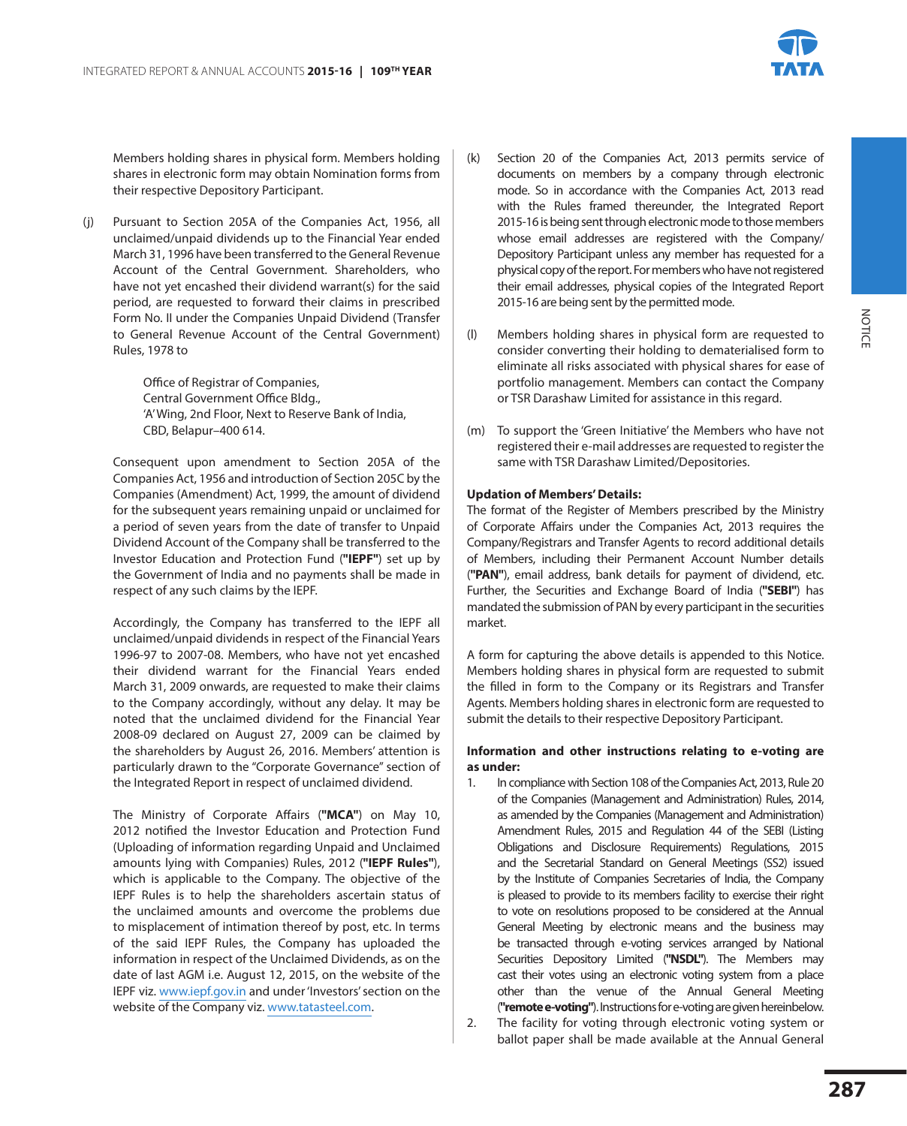Members holding shares in physical form. Members holding shares in electronic form may obtain Nomination forms from their respective Depository Participant.

(j) Pursuant to Section 205A of the Companies Act, 1956, all unclaimed/unpaid dividends up to the Financial Year ended March 31, 1996 have been transferred to the General Revenue Account of the Central Government. Shareholders, who have not yet encashed their dividend warrant(s) for the said period, are requested to forward their claims in prescribed Form No. II under the Companies Unpaid Dividend (Transfer to General Revenue Account of the Central Government) Rules, 1978 to

> Office of Registrar of Companies, Central Government Office Bldg., 'A' Wing, 2nd Floor, Next to Reserve Bank of India, CBD, Belapur–400 614.

 Consequent upon amendment to Section 205A of the Companies Act, 1956 and introduction of Section 205C by the Companies (Amendment) Act, 1999, the amount of dividend for the subsequent years remaining unpaid or unclaimed for a period of seven years from the date of transfer to Unpaid Dividend Account of the Company shall be transferred to the Investor Education and Protection Fund (**"IEPF"**) set up by the Government of India and no payments shall be made in respect of any such claims by the IEPF.

 Accordingly, the Company has transferred to the IEPF all unclaimed/unpaid dividends in respect of the Financial Years 1996-97 to 2007-08. Members, who have not yet encashed their dividend warrant for the Financial Years ended March 31, 2009 onwards, are requested to make their claims to the Company accordingly, without any delay. It may be noted that the unclaimed dividend for the Financial Year 2008-09 declared on August 27, 2009 can be claimed by the shareholders by August 26, 2016. Members' attention is particularly drawn to the "Corporate Governance" section of the Integrated Report in respect of unclaimed dividend.

 The Ministry of Corporate Affairs (**"MCA"**) on May 10, 2012 notified the Investor Education and Protection Fund (Uploading of information regarding Unpaid and Unclaimed amounts lying with Companies) Rules, 2012 (**"IEPF Rules"**), which is applicable to the Company. The objective of the IEPF Rules is to help the shareholders ascertain status of the unclaimed amounts and overcome the problems due to misplacement of intimation thereof by post, etc. In terms of the said IEPF Rules, the Company has uploaded the information in respect of the Unclaimed Dividends, as on the date of last AGM i.e. August 12, 2015, on the website of the IEPF viz. www.iepf.gov.in and under 'Investors' section on the website of the Company viz. www.tatasteel.com.

- (k) Section 20 of the Companies Act, 2013 permits service of documents on members by a company through electronic mode. So in accordance with the Companies Act, 2013 read with the Rules framed thereunder, the Integrated Report 2015-16 is being sent through electronic mode to those members whose email addresses are registered with the Company/ Depository Participant unless any member has requested for a physical copy of the report. For members who have not registered their email addresses, physical copies of the Integrated Report 2015-16 are being sent by the permitted mode.
- (l) Members holding shares in physical form are requested to consider converting their holding to dematerialised form to eliminate all risks associated with physical shares for ease of portfolio management. Members can contact the Company or TSR Darashaw Limited for assistance in this regard.
- (m) To support the 'Green Initiative' the Members who have not registered their e-mail addresses are requested to register the same with TSR Darashaw Limited/Depositories.

#### **Updation of Members' Details:**

The format of the Register of Members prescribed by the Ministry of Corporate Affairs under the Companies Act, 2013 requires the Company/Registrars and Transfer Agents to record additional details of Members, including their Permanent Account Number details (**"PAN"**), email address, bank details for payment of dividend, etc. Further, the Securities and Exchange Board of India (**"SEBI"**) has mandated the submission of PAN by every participant in the securities market.

A form for capturing the above details is appended to this Notice. Members holding shares in physical form are requested to submit the filled in form to the Company or its Registrars and Transfer Agents. Members holding shares in electronic form are requested to submit the details to their respective Depository Participant.

### **Information and other instructions relating to e-voting are as under:**

1. In compliance with Section 108 of the Companies Act, 2013, Rule 20 of the Companies (Management and Administration) Rules, 2014, as amended by the Companies (Management and Administration) Amendment Rules, 2015 and Regulation 44 of the SEBI (Listing Obligations and Disclosure Requirements) Regulations, 2015 and the Secretarial Standard on General Meetings (SS2) issued by the Institute of Companies Secretaries of India, the Company is pleased to provide to its members facility to exercise their right to vote on resolutions proposed to be considered at the Annual General Meeting by electronic means and the business may be transacted through e-voting services arranged by National Securities Depository Limited (**"NSDL"**). The Members may cast their votes using an electronic voting system from a place other than the venue of the Annual General Meeting (**"remote e-voting"**). Instructions for e-voting are given hereinbelow. 2. The facility for voting through electronic voting system or

ballot paper shall be made available at the Annual General

**287**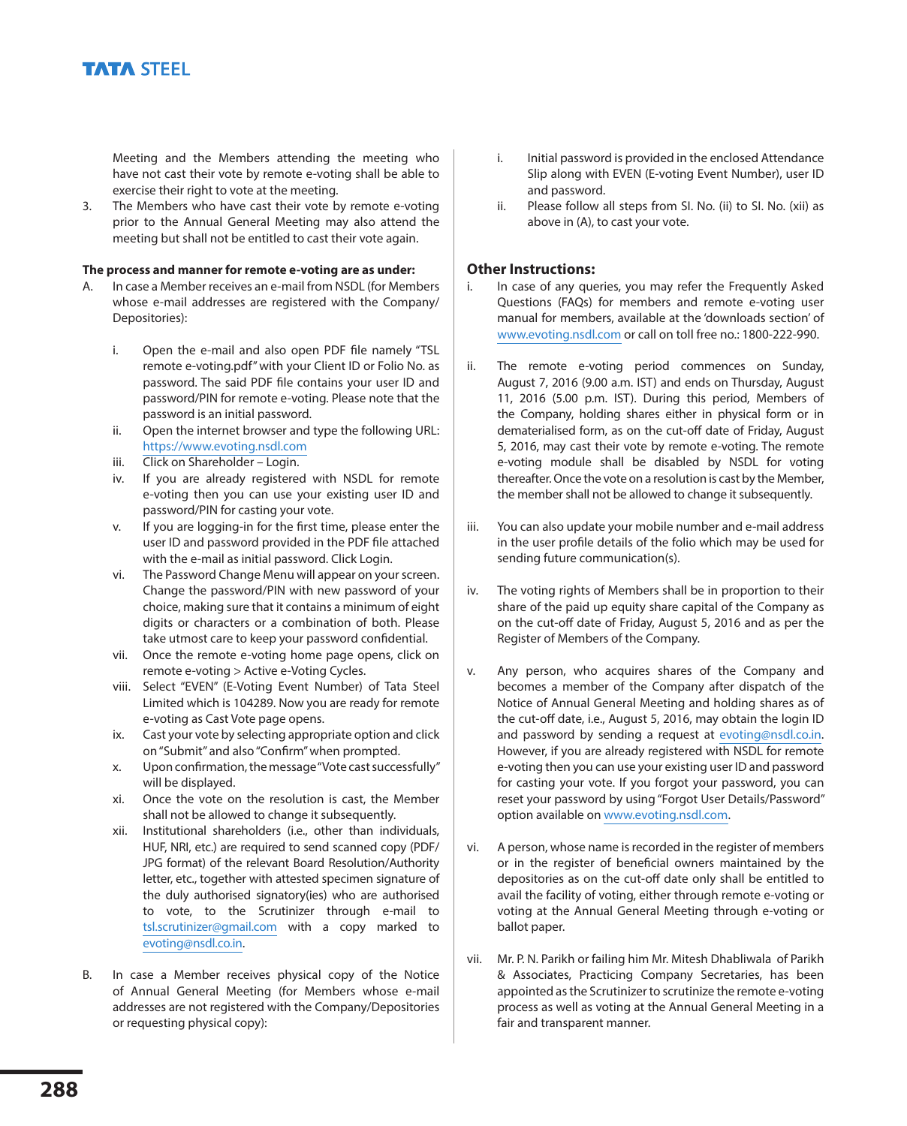### **TATA STEEL**

Meeting and the Members attending the meeting who have not cast their vote by remote e-voting shall be able to exercise their right to vote at the meeting.

3. The Members who have cast their vote by remote e-voting prior to the Annual General Meeting may also attend the meeting but shall not be entitled to cast their vote again.

### **The process and manner for remote e-voting are as under:**

- A. In case a Member receives an e-mail from NSDL (for Members whose e-mail addresses are registered with the Company/ Depositories):
	- i. Open the e-mail and also open PDF file namely "TSL remote e-voting.pdf" with your Client ID or Folio No. as password. The said PDF file contains your user ID and password/PIN for remote e-voting. Please note that the password is an initial password.
	- ii. Open the internet browser and type the following URL: https://www.evoting.nsdl.com
	- iii. Click on Shareholder Login.
	- iv. If you are already registered with NSDL for remote e-voting then you can use your existing user ID and password/PIN for casting your vote.
	- v. If you are logging-in for the first time, please enter the user ID and password provided in the PDF file attached with the e-mail as initial password. Click Login.
	- vi. The Password Change Menu will appear on your screen. Change the password/PIN with new password of your choice, making sure that it contains a minimum of eight digits or characters or a combination of both. Please take utmost care to keep your password confidential.
	- vii. Once the remote e-voting home page opens, click on remote e-voting > Active e-Voting Cycles.
	- viii. Select "EVEN" (E-Voting Event Number) of Tata Steel Limited which is 104289. Now you are ready for remote e-voting as Cast Vote page opens.
	- ix. Cast your vote by selecting appropriate option and click on "Submit" and also "Confirm" when prompted.
	- x. Upon confirmation, the message "Vote cast successfully" will be displayed.
	- xi. Once the vote on the resolution is cast, the Member shall not be allowed to change it subsequently.
	- xii. Institutional shareholders (i.e., other than individuals, HUF, NRI, etc.) are required to send scanned copy (PDF/ JPG format) of the relevant Board Resolution/Authority letter, etc., together with attested specimen signature of the duly authorised signatory(ies) who are authorised to vote, to the Scrutinizer through e-mail to tsl.scrutinizer@gmail.com with a copy marked to evoting@nsdl.co.in.
- B. In case a Member receives physical copy of the Notice of Annual General Meeting (for Members whose e-mail addresses are not registered with the Company/Depositories or requesting physical copy):
- i. Initial password is provided in the enclosed Attendance Slip along with EVEN (E-voting Event Number), user ID and password.
- ii. Please follow all steps from SI. No. (ii) to SI. No. (xii) as above in (A), to cast your vote.

### **Other Instructions:**

- i. In case of any queries, you may refer the Frequently Asked Questions (FAQs) for members and remote e-voting user manual for members, available at the 'downloads section' of www.evoting.nsdl.com or call on toll free no.: 1800-222-990.
- ii. The remote e-voting period commences on Sunday, August 7, 2016 (9.00 a.m. IST) and ends on Thursday, August 11, 2016 (5.00 p.m. IST). During this period, Members of the Company, holding shares either in physical form or in dematerialised form, as on the cut-off date of Friday, August 5, 2016, may cast their vote by remote e-voting. The remote e-voting module shall be disabled by NSDL for voting thereafter. Once the vote on a resolution is cast by the Member, the member shall not be allowed to change it subsequently.
- iii. You can also update your mobile number and e-mail address in the user profile details of the folio which may be used for sending future communication(s).
- iv. The voting rights of Members shall be in proportion to their share of the paid up equity share capital of the Company as on the cut-off date of Friday, August 5, 2016 and as per the Register of Members of the Company.
- v. Any person, who acquires shares of the Company and becomes a member of the Company after dispatch of the Notice of Annual General Meeting and holding shares as of the cut-off date, i.e., August 5, 2016, may obtain the login ID and password by sending a request at evoting@nsdl.co.in. However, if you are already registered with NSDL for remote e-voting then you can use your existing user ID and password for casting your vote. If you forgot your password, you can reset your password by using "Forgot User Details/Password" option available on www.evoting.nsdl.com.
- vi. A person, whose name is recorded in the register of members or in the register of beneficial owners maintained by the depositories as on the cut-off date only shall be entitled to avail the facility of voting, either through remote e-voting or voting at the Annual General Meeting through e-voting or ballot paper.
- vii. Mr. P. N. Parikh or failing him Mr. Mitesh Dhabliwala of Parikh & Associates, Practicing Company Secretaries, has been appointed as the Scrutinizer to scrutinize the remote e-voting process as well as voting at the Annual General Meeting in a fair and transparent manner.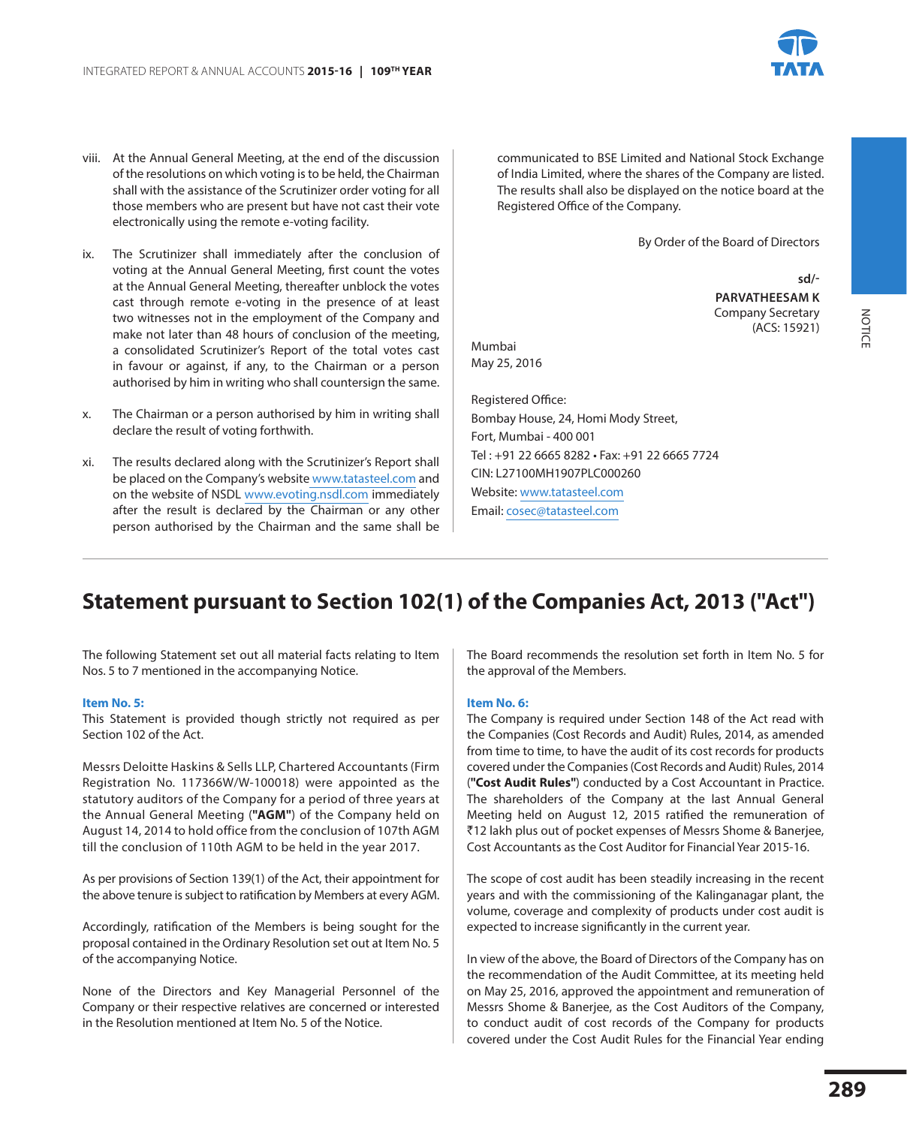

- viii. At the Annual General Meeting, at the end of the discussion of the resolutions on which voting is to be held, the Chairman shall with the assistance of the Scrutinizer order voting for all those members who are present but have not cast their vote electronically using the remote e-voting facility.
- ix. The Scrutinizer shall immediately after the conclusion of voting at the Annual General Meeting, first count the votes at the Annual General Meeting, thereafter unblock the votes cast through remote e-voting in the presence of at least two witnesses not in the employment of the Company and make not later than 48 hours of conclusion of the meeting, a consolidated Scrutinizer's Report of the total votes cast in favour or against, if any, to the Chairman or a person authorised by him in writing who shall countersign the same.
- x. The Chairman or a person authorised by him in writing shall declare the result of voting forthwith.
- xi. The results declared along with the Scrutinizer's Report shall be placed on the Company's website www.tatasteel.com and on the website of NSDL www.evoting.nsdl.com immediately after the result is declared by the Chairman or any other person authorised by the Chairman and the same shall be

communicated to BSE Limited and National Stock Exchange of India Limited, where the shares of the Company are listed. The results shall also be displayed on the notice board at the Registered Office of the Company.

By Order of the Board of Directors

**sd/- PARVATHEESAM K** Company Secretary (ACS: 15921)

Mumbai May 25, 2016

Registered Office: Bombay House, 24, Homi Mody Street, Fort, Mumbai - 400 001 Tel : +91 22 6665 8282 • Fax: +91 22 6665 7724 CIN: L27100MH1907PLC000260 Website: www.tatasteel.com Email: cosec@tatasteel.com

## **Statement pursuant to Section 102(1) of the Companies Act, 2013 ("Act")**

The following Statement set out all material facts relating to Item Nos. 5 to 7 mentioned in the accompanying Notice.

### **Item No. 5:**

This Statement is provided though strictly not required as per Section 102 of the Act.

Messrs Deloitte Haskins & Sells LLP, Chartered Accountants (Firm Registration No. 117366W/W-100018) were appointed as the statutory auditors of the Company for a period of three years at the Annual General Meeting (**"AGM"**) of the Company held on August 14, 2014 to hold office from the conclusion of 107th AGM till the conclusion of 110th AGM to be held in the year 2017.

As per provisions of Section 139(1) of the Act, their appointment for the above tenure is subject to ratification by Members at every AGM.

Accordingly, ratification of the Members is being sought for the proposal contained in the Ordinary Resolution set out at Item No. 5 of the accompanying Notice.

None of the Directors and Key Managerial Personnel of the Company or their respective relatives are concerned or interested in the Resolution mentioned at Item No. 5 of the Notice.

The Board recommends the resolution set forth in Item No. 5 for the approval of the Members.

### **Item No. 6:**

The Company is required under Section 148 of the Act read with the Companies (Cost Records and Audit) Rules, 2014, as amended from time to time, to have the audit of its cost records for products covered under the Companies (Cost Records and Audit) Rules, 2014 (**"Cost Audit Rules"**) conducted by a Cost Accountant in Practice. The shareholders of the Company at the last Annual General Meeting held on August 12, 2015 ratified the remuneration of `12 lakh plus out of pocket expenses of Messrs Shome & Banerjee, Cost Accountants as the Cost Auditor for Financial Year 2015-16.

The scope of cost audit has been steadily increasing in the recent years and with the commissioning of the Kalinganagar plant, the volume, coverage and complexity of products under cost audit is expected to increase significantly in the current year.

In view of the above, the Board of Directors of the Company has on the recommendation of the Audit Committee, at its meeting held on May 25, 2016, approved the appointment and remuneration of Messrs Shome & Banerjee, as the Cost Auditors of the Company, to conduct audit of cost records of the Company for products covered under the Cost Audit Rules for the Financial Year ending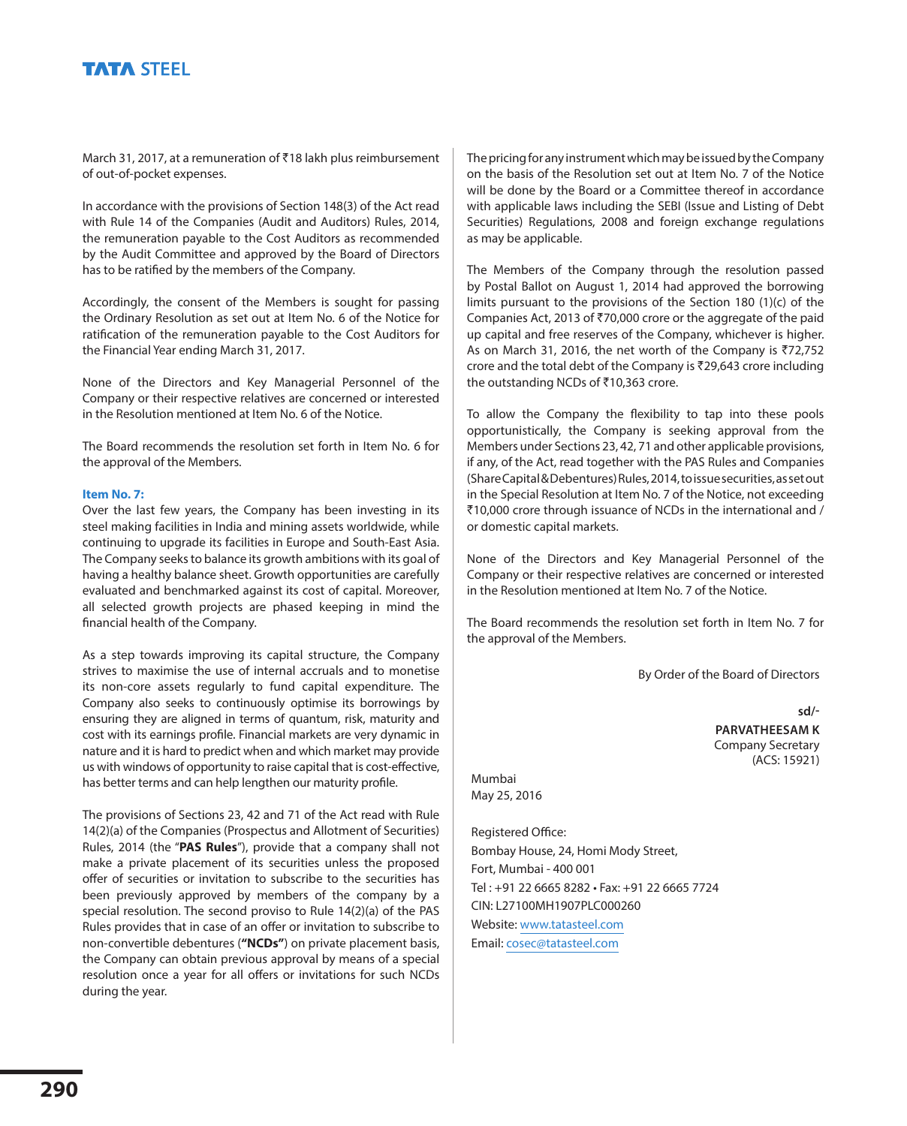### **TATA STEEL**

March 31, 2017, at a remuneration of ₹18 lakh plus reimbursement of out-of-pocket expenses.

In accordance with the provisions of Section 148(3) of the Act read with Rule 14 of the Companies (Audit and Auditors) Rules, 2014, the remuneration payable to the Cost Auditors as recommended by the Audit Committee and approved by the Board of Directors has to be ratified by the members of the Company.

Accordingly, the consent of the Members is sought for passing the Ordinary Resolution as set out at Item No. 6 of the Notice for ratification of the remuneration payable to the Cost Auditors for the Financial Year ending March 31, 2017.

None of the Directors and Key Managerial Personnel of the Company or their respective relatives are concerned or interested in the Resolution mentioned at Item No. 6 of the Notice.

The Board recommends the resolution set forth in Item No. 6 for the approval of the Members.

#### **Item No. 7:**

Over the last few years, the Company has been investing in its steel making facilities in India and mining assets worldwide, while continuing to upgrade its facilities in Europe and South-East Asia. The Company seeks to balance its growth ambitions with its goal of having a healthy balance sheet. Growth opportunities are carefully evaluated and benchmarked against its cost of capital. Moreover, all selected growth projects are phased keeping in mind the financial health of the Company.

As a step towards improving its capital structure, the Company strives to maximise the use of internal accruals and to monetise its non-core assets regularly to fund capital expenditure. The Company also seeks to continuously optimise its borrowings by ensuring they are aligned in terms of quantum, risk, maturity and cost with its earnings profile. Financial markets are very dynamic in nature and it is hard to predict when and which market may provide us with windows of opportunity to raise capital that is cost-effective, has better terms and can help lengthen our maturity profile.

The provisions of Sections 23, 42 and 71 of the Act read with Rule 14(2)(a) of the Companies (Prospectus and Allotment of Securities) Rules, 2014 (the "**PAS Rules**"), provide that a company shall not make a private placement of its securities unless the proposed offer of securities or invitation to subscribe to the securities has been previously approved by members of the company by a special resolution. The second proviso to Rule 14(2)(a) of the PAS Rules provides that in case of an offer or invitation to subscribe to non-convertible debentures (**"NCDs"**) on private placement basis, the Company can obtain previous approval by means of a special resolution once a year for all offers or invitations for such NCDs during the year.

The pricing for any instrument which may be issued by the Company on the basis of the Resolution set out at Item No. 7 of the Notice will be done by the Board or a Committee thereof in accordance with applicable laws including the SEBI (Issue and Listing of Debt Securities) Regulations, 2008 and foreign exchange regulations as may be applicable.

The Members of the Company through the resolution passed by Postal Ballot on August 1, 2014 had approved the borrowing limits pursuant to the provisions of the Section 180 (1)(c) of the Companies Act, 2013 of  $\overline{5}70,000$  crore or the aggregate of the paid up capital and free reserves of the Company, whichever is higher. As on March 31, 2016, the net worth of the Company is ₹72,752 crore and the total debt of the Company is  $\bar{\tau}$ 29,643 crore including the outstanding NCDs of ₹10,363 crore.

To allow the Company the flexibility to tap into these pools opportunistically, the Company is seeking approval from the Members under Sections 23, 42, 71 and other applicable provisions, if any, of the Act, read together with the PAS Rules and Companies (Share Capital & Debentures) Rules, 2014, to issue securities, as set out in the Special Resolution at Item No. 7 of the Notice, not exceeding `10,000 crore through issuance of NCDs in the international and / or domestic capital markets.

None of the Directors and Key Managerial Personnel of the Company or their respective relatives are concerned or interested in the Resolution mentioned at Item No. 7 of the Notice.

The Board recommends the resolution set forth in Item No. 7 for the approval of the Members.

By Order of the Board of Directors

**sd/- PARVATHEESAM K** Company Secretary (ACS: 15921)

Mumbai May 25, 2016

Registered Office: Bombay House, 24, Homi Mody Street, Fort, Mumbai - 400 001 Tel : +91 22 6665 8282 • Fax: +91 22 6665 7724 CIN: L27100MH1907PLC000260 Website: www.tatasteel.com Email: cosec@tatasteel.com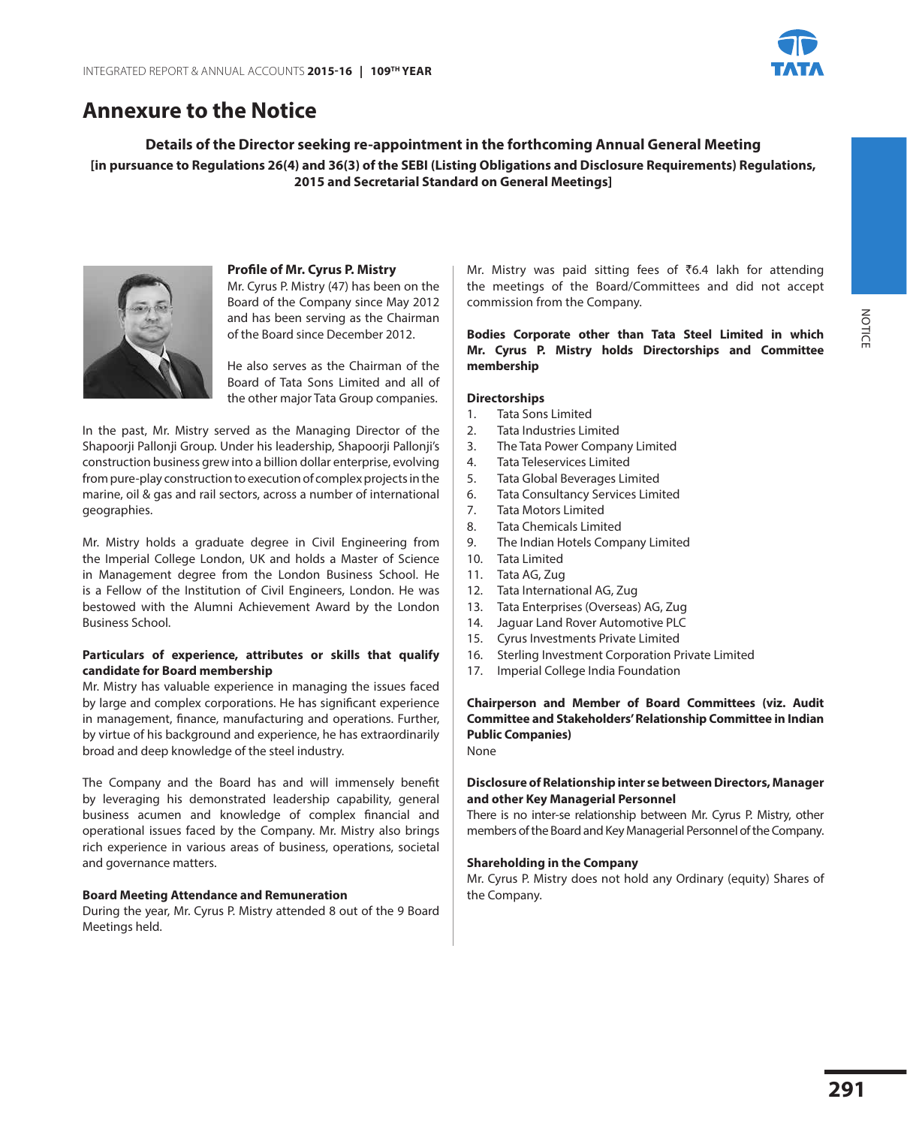## **Annexure to the Notice**



**Details of the Director seeking re-appointment in the forthcoming Annual General Meeting [in pursuance to Regulations 26(4) and 36(3) of the SEBI (Listing Obligations and Disclosure Requirements) Regulations, 2015 and Secretarial Standard on General Meetings]**



### **Profile of Mr. Cyrus P. Mistry**

Mr. Cyrus P. Mistry (47) has been on the Board of the Company since May 2012 and has been serving as the Chairman of the Board since December 2012.

He also serves as the Chairman of the Board of Tata Sons Limited and all of the other major Tata Group companies.

In the past, Mr. Mistry served as the Managing Director of the Shapoorji Pallonji Group. Under his leadership, Shapoorji Pallonji's construction business grew into a billion dollar enterprise, evolving from pure-play construction to execution of complex projects in the marine, oil & gas and rail sectors, across a number of international geographies.

Mr. Mistry holds a graduate degree in Civil Engineering from the Imperial College London, UK and holds a Master of Science in Management degree from the London Business School. He is a Fellow of the Institution of Civil Engineers, London. He was bestowed with the Alumni Achievement Award by the London Business School.

### **Particulars of experience, attributes or skills that qualify candidate for Board membership**

Mr. Mistry has valuable experience in managing the issues faced by large and complex corporations. He has significant experience in management, finance, manufacturing and operations. Further, by virtue of his background and experience, he has extraordinarily broad and deep knowledge of the steel industry.

The Company and the Board has and will immensely benefit by leveraging his demonstrated leadership capability, general business acumen and knowledge of complex financial and operational issues faced by the Company. Mr. Mistry also brings rich experience in various areas of business, operations, societal and governance matters.

### **Board Meeting Attendance and Remuneration**

During the year, Mr. Cyrus P. Mistry attended 8 out of the 9 Board Meetings held.

Mr. Mistry was paid sitting fees of  $\bar{z}6.4$  lakh for attending the meetings of the Board/Committees and did not accept commission from the Company.

**Bodies Corporate other than Tata Steel Limited in which Mr. Cyrus P. Mistry holds Directorships and Committee membership**

### **Directorships**

- 1. Tata Sons Limited
- 2. Tata Industries Limited
- 3. The Tata Power Company Limited
- 4. Tata Teleservices Limited
- 5. Tata Global Beverages Limited
- 6. Tata Consultancy Services Limited
- 7. Tata Motors Limited
- 8. Tata Chemicals Limited
- 9. The Indian Hotels Company Limited
- 10. Tata Limited
- 11. Tata AG, Zug
- 12. Tata International AG, Zug
- 13. Tata Enterprises (Overseas) AG, Zug
- 14. Jaguar Land Rover Automotive PLC
- 15. Cyrus Investments Private Limited
- 16. Sterling Investment Corporation Private Limited
- 17. Imperial College India Foundation

### **Chairperson and Member of Board Committees (viz. Audit Committee and Stakeholders' Relationship Committee in Indian Public Companies)**

None

### **Disclosure of Relationship inter se between Directors, Manager and other Key Managerial Personnel**

There is no inter-se relationship between Mr. Cyrus P. Mistry, other members of the Board and Key Managerial Personnel of the Company.

### **Shareholding in the Company**

Mr. Cyrus P. Mistry does not hold any Ordinary (equity) Shares of the Company.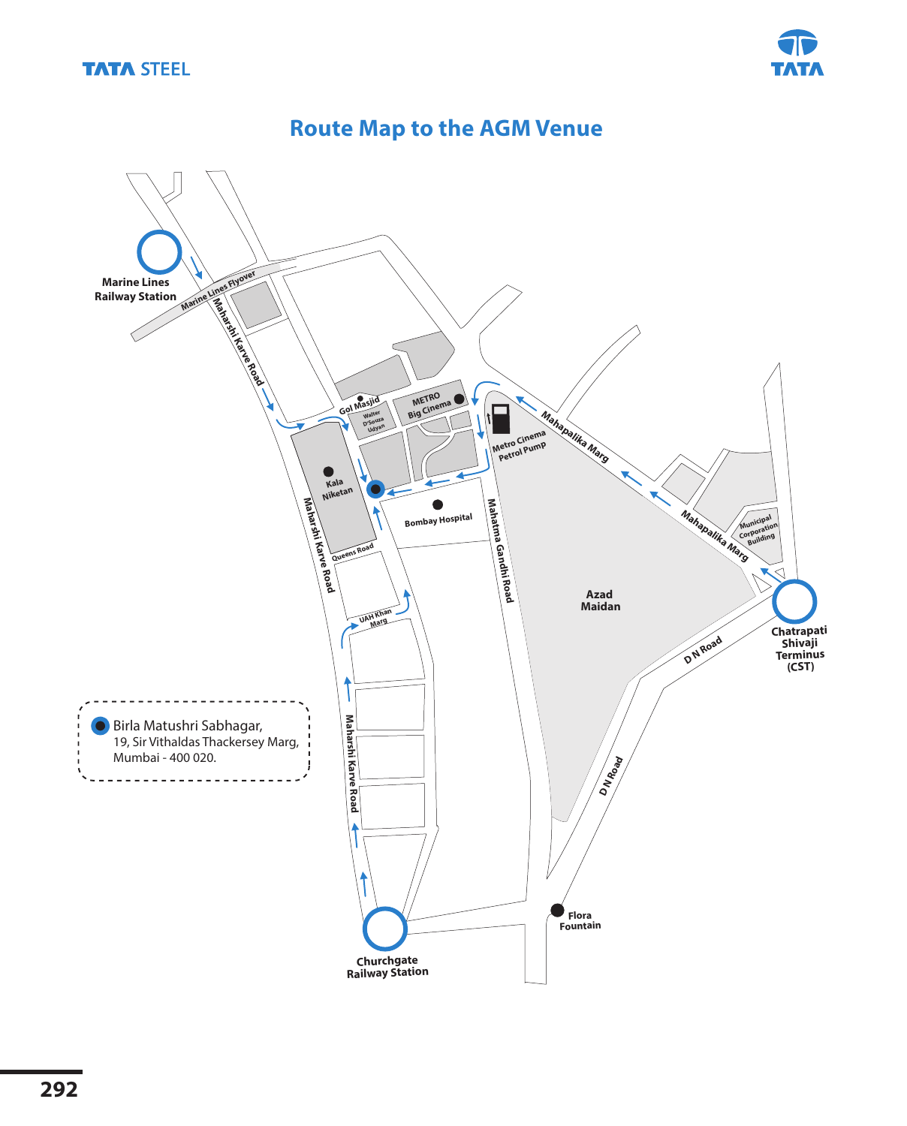



# **Route Map to the AGM Venue**

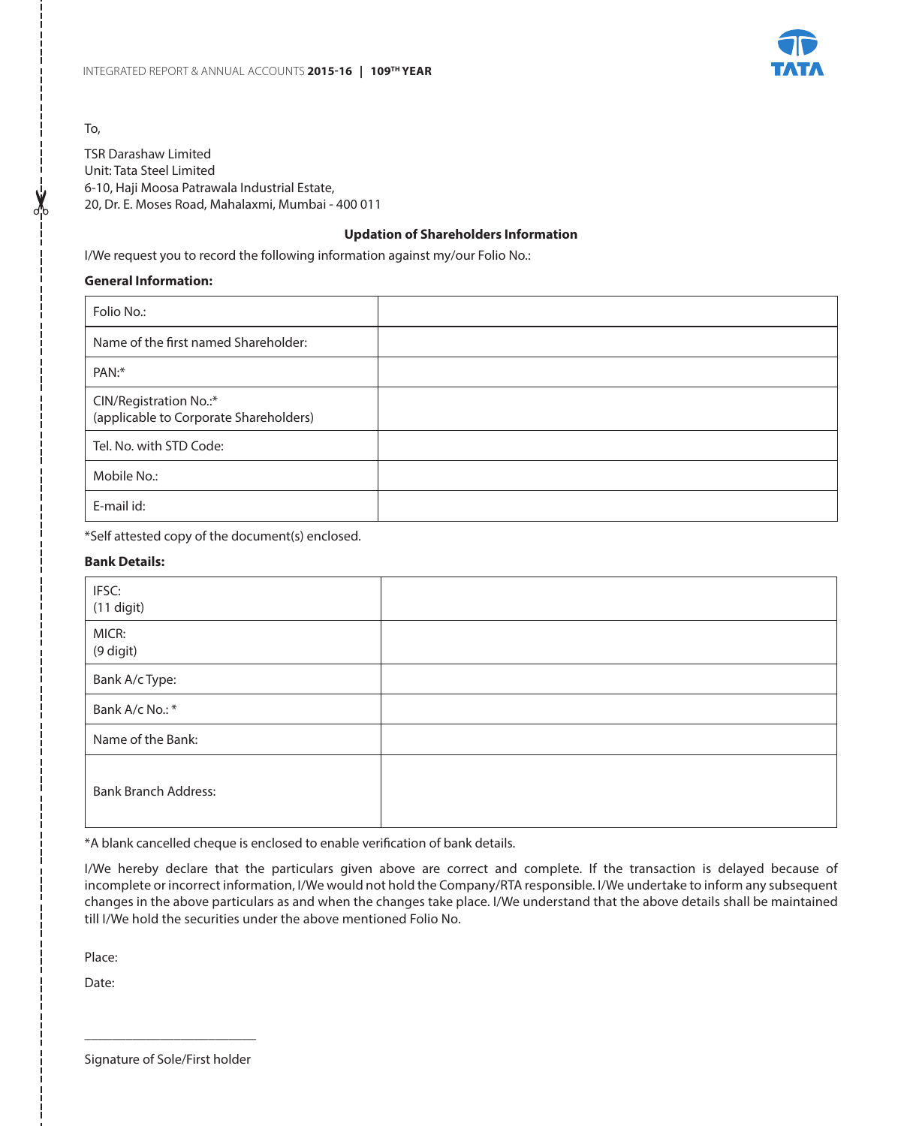

### To,

TSR Darashaw Limited Unit: Tata Steel Limited 6-10, Haji Moosa Patrawala Industrial Estate, 20, Dr. E. Moses Road, Mahalaxmi, Mumbai - 400 011

### **Updation of Shareholders Information**

I/We request you to record the following information against my/our Folio No.:

### **General Information:**

| Folio No.:                                                       |  |
|------------------------------------------------------------------|--|
| Name of the first named Shareholder:                             |  |
| PAN:*                                                            |  |
| CIN/Registration No.:*<br>(applicable to Corporate Shareholders) |  |
| Tel. No. with STD Code:                                          |  |
| Mobile No.:                                                      |  |
| E-mail id:                                                       |  |

\*Self attested copy of the document(s) enclosed.

### **Bank Details:**

| IFSC:<br>$(11$ digit)       |  |
|-----------------------------|--|
| MICR:<br>(9 digit)          |  |
| Bank A/c Type:              |  |
| Bank A/c No.:*              |  |
| Name of the Bank:           |  |
| <b>Bank Branch Address:</b> |  |

\*A blank cancelled cheque is enclosed to enable verification of bank details.

I/We hereby declare that the particulars given above are correct and complete. If the transaction is delayed because of incomplete or incorrect information, I/We would not hold the Company/RTA responsible. I/We undertake to inform any subsequent changes in the above particulars as and when the changes take place. I/We understand that the above details shall be maintained till I/We hold the securities under the above mentioned Folio No.

Place:

Date:

\_\_\_\_\_\_\_\_\_\_\_\_\_\_\_\_\_\_\_\_\_\_\_\_\_ Signature of Sole/First holder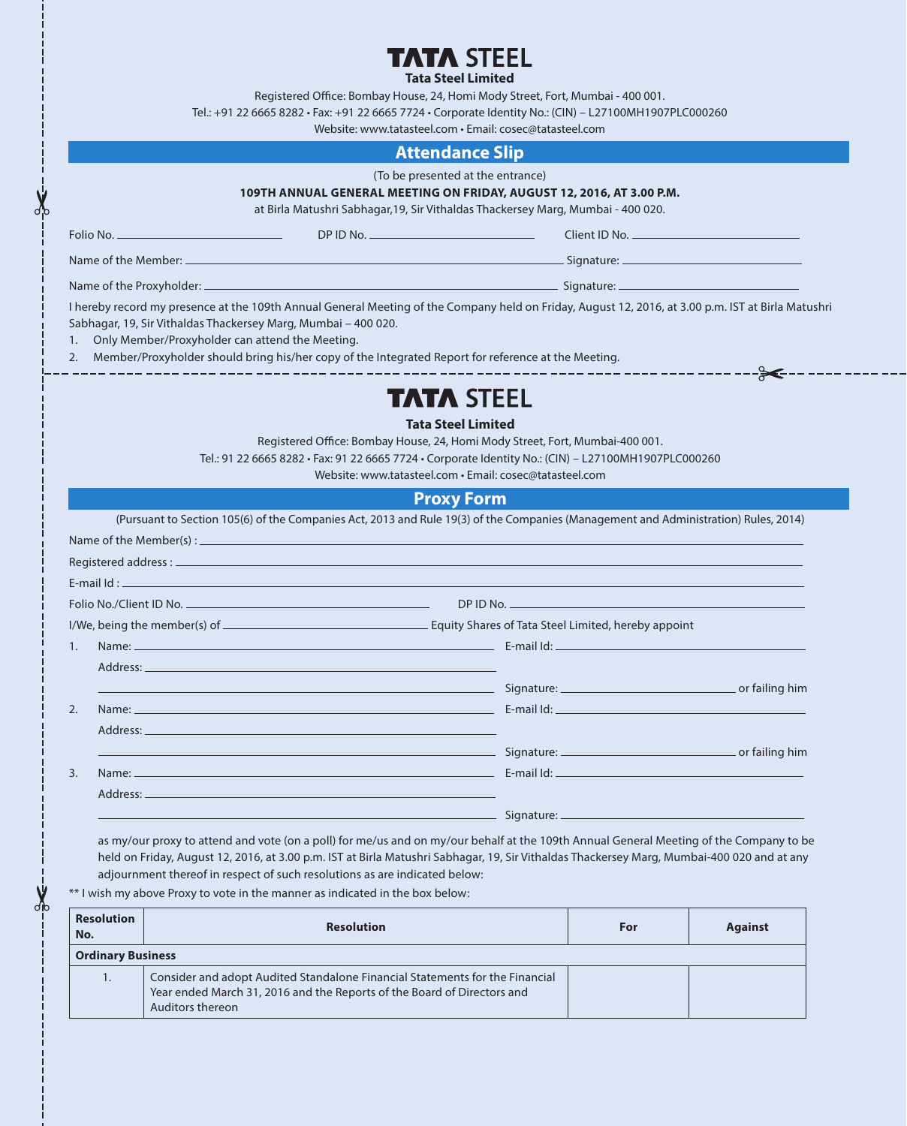# INTEGRATED REPORT & ANNUAL ACCOUNTS **2015-16 | 109TH YEAR**

**Tata Steel Limited**

Registered Office: Bombay House, 24, Homi Mody Street, Fort, Mumbai - 400 001.

Tel.: +91 22 6665 8282 • Fax: +91 22 6665 7724 • Corporate Identity No.: (CIN) – L27100MH1907PLC000260

Website: www.tatasteel.com • Email: cosec@tatasteel.com

### **Attendance Slip**

|                                                    | 109TH ANNUAL GENERAL MEETING ON FRIDAY, AUGUST 12, 2016, AT 3.00 P.M.                                                                                                                                                                                                                                                          | (To be presented at the entrance)<br>at Birla Matushri Sabhagar, 19, Sir Vithaldas Thackersey Marg, Mumbai - 400 020.                                                |               |
|----------------------------------------------------|--------------------------------------------------------------------------------------------------------------------------------------------------------------------------------------------------------------------------------------------------------------------------------------------------------------------------------|----------------------------------------------------------------------------------------------------------------------------------------------------------------------|---------------|
|                                                    |                                                                                                                                                                                                                                                                                                                                |                                                                                                                                                                      | Client ID No. |
|                                                    |                                                                                                                                                                                                                                                                                                                                |                                                                                                                                                                      |               |
|                                                    |                                                                                                                                                                                                                                                                                                                                |                                                                                                                                                                      |               |
| 1. Only Member/Proxyholder can attend the Meeting. | I hereby record my presence at the 109th Annual General Meeting of the Company held on Friday, August 12, 2016, at 3.00 p.m. IST at Birla Matushri<br>Sabhagar, 19, Sir Vithaldas Thackersey Marg, Mumbai - 400 020.<br>2. Member/Proxyholder should bring his/her copy of the Integrated Report for reference at the Meeting. |                                                                                                                                                                      |               |
|                                                    |                                                                                                                                                                                                                                                                                                                                | <b>TATA STEEL</b>                                                                                                                                                    | ╬ਿ€           |
|                                                    | Tel.: 91 22 6665 8282 · Fax: 91 22 6665 7724 · Corporate Identity No.: (CIN) - L27100MH1907PLC000260                                                                                                                                                                                                                           | <b>Tata Steel Limited</b><br>Registered Office: Bombay House, 24, Homi Mody Street, Fort, Mumbai-400 001.<br>Website: www.tatasteel.com • Email: cosec@tatasteel.com |               |
|                                                    |                                                                                                                                                                                                                                                                                                                                | <b>Proxy Form</b>                                                                                                                                                    |               |
|                                                    | (Pursuant to Section 105(6) of the Companies Act, 2013 and Rule 19(3) of the Companies (Management and Administration) Rules, 2014)                                                                                                                                                                                            |                                                                                                                                                                      |               |
|                                                    |                                                                                                                                                                                                                                                                                                                                |                                                                                                                                                                      |               |
|                                                    |                                                                                                                                                                                                                                                                                                                                |                                                                                                                                                                      |               |
|                                                    |                                                                                                                                                                                                                                                                                                                                |                                                                                                                                                                      |               |
|                                                    |                                                                                                                                                                                                                                                                                                                                |                                                                                                                                                                      |               |
| 1.                                                 | Name: <u>Contract of the Contract of Contract of the Contract of Contract of the Contract of the Contract of the Contract of the Contract of the Contract of the Contract of the Contract of the Contract of the Contract of the</u>                                                                                           |                                                                                                                                                                      |               |
| Address: ____                                      |                                                                                                                                                                                                                                                                                                                                |                                                                                                                                                                      |               |
|                                                    | er and the contract of the contract of the contract of the contract of the contract of the contract of the contract of the contract of the contract of the contract of the contract of the contract of the contract of the con                                                                                                 |                                                                                                                                                                      |               |
| 2.                                                 |                                                                                                                                                                                                                                                                                                                                |                                                                                                                                                                      |               |
|                                                    |                                                                                                                                                                                                                                                                                                                                |                                                                                                                                                                      |               |
|                                                    | entitive and the state of the state of the state of the state of the state of the state of the state of the state of the state of the state of the state of the state of the state of the state of the state of the state of t                                                                                                 |                                                                                                                                                                      |               |
| 3.                                                 | Name: <u>Contract Contract Contract Contract Contract Contract Contract Contract Contract Contract Contract Contract Contract Contract Contract Contract Contract Contract Contract Contract Contract Contract Contract Contract</u>                                                                                           |                                                                                                                                                                      |               |
|                                                    | Address: Address: Address: Address: Address: Address: Address: Address: Address: Address: Address: Address: Address: Address: Address: Address: Address: Address: Address: Address: Address: Address: Address: Address: Addres                                                                                                 |                                                                                                                                                                      |               |
|                                                    |                                                                                                                                                                                                                                                                                                                                |                                                                                                                                                                      |               |

 as my/our proxy to attend and vote (on a poll) for me/us and on my/our behalf at the 109th Annual General Meeting of the Company to be held on Friday, August 12, 2016, at 3.00 p.m. IST at Birla Matushri Sabhagar, 19, Sir Vithaldas Thackersey Marg, Mumbai-400 020 and at any adjournment thereof in respect of such resolutions as are indicated below:

\*\* I wish my above Proxy to vote in the manner as indicated in the box below:

 $\mathbf{\dot{X}}$ 

 $\mathbf{y}$ 

| <b>Resolution</b><br>No. | <b>Resolution</b>                                                                                                                                                           | For | Against |
|--------------------------|-----------------------------------------------------------------------------------------------------------------------------------------------------------------------------|-----|---------|
| <b>Ordinary Business</b> |                                                                                                                                                                             |     |         |
| .,                       | Consider and adopt Audited Standalone Financial Statements for the Financial<br>Year ended March 31, 2016 and the Reports of the Board of Directors and<br>Auditors thereon |     |         |